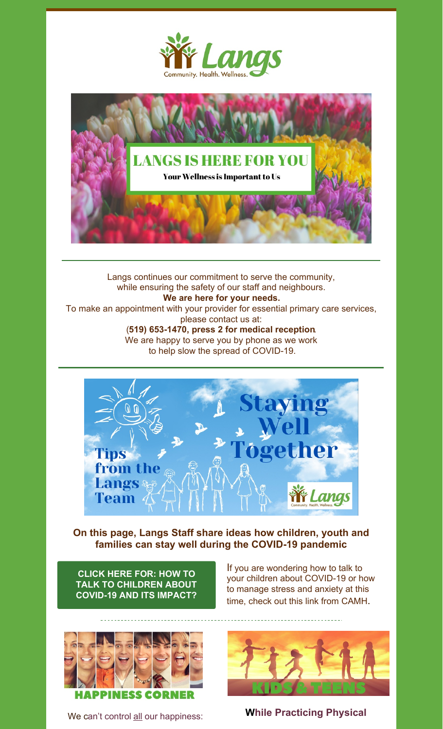



Langs continues our commitment to serve the community, while ensuring the safety of our staff and neighbours. **We are here for your needs.** To make an appointment with your provider for essential primary care services, please contact us at: (**519) 653-1470, press 2 for medical reception**. We are happy to serve you by phone as we work to help slow the spread of COVID-19.



# **On this page, Langs Staff share ideas how children, youth and families can stay well during the COVID-19 pandemic**

**CLICK HERE FOR: HOW TO TALK TO [CHILDREN](https://www.camh.ca/en/health-info/mental-health-and-covid-19) ABOUT COVID-19 AND ITS IMPACT?**

If you are wondering how to talk to your children about COVID-19 or how to manage stress and anxiety at this time, check out this link from CAMH.



We can't control all our happiness: **While Practicing Physical**